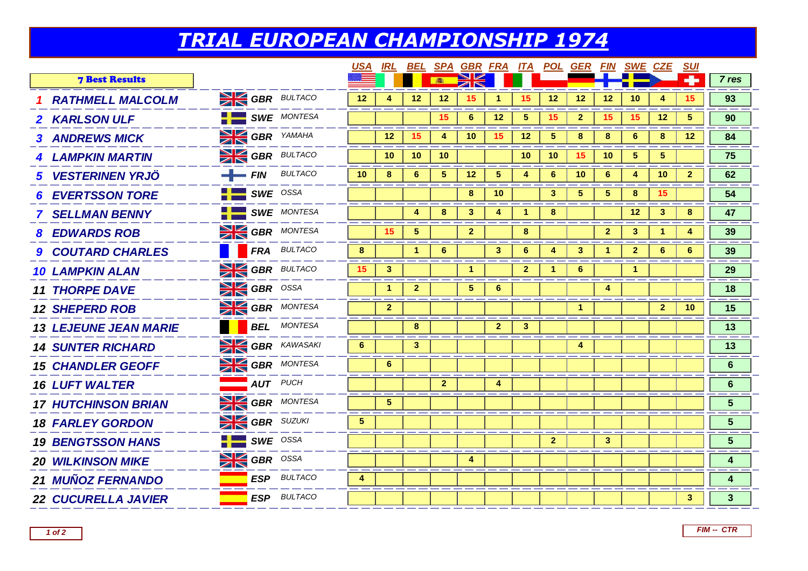## *TRIAL EUROPEAN CHAMPIONSHIP 1974*

| ÷<br><b>7 Best Results</b><br><b>SINGBR</b> BULTACO<br>12<br>12<br>12<br>15<br>12<br>12<br>12<br>10<br>15<br>4<br>15<br><b>RATHMELL MALCOLM</b><br>1<br>$\frac{1}{2}$ SWE MONTESA<br>15<br>6<br>12<br>5<br>15<br>$\overline{2}$<br>15<br>15<br>12<br>5<br>2 KARLSON ULF | 7 res<br>93<br>90       |
|-------------------------------------------------------------------------------------------------------------------------------------------------------------------------------------------------------------------------------------------------------------------------|-------------------------|
|                                                                                                                                                                                                                                                                         |                         |
|                                                                                                                                                                                                                                                                         |                         |
|                                                                                                                                                                                                                                                                         |                         |
| <b>SI GBR</b> YAMAHA<br>12<br>15<br>15<br>$5\phantom{.0}$<br>10<br>12 <sup>2</sup><br>8<br>8<br>6<br>8<br>12 <sup>°</sup><br>4<br><b>3 ANDREWS MICK</b>                                                                                                                 | 84                      |
| <b>SIM GBR</b> BULTACO<br>10 <sup>°</sup><br>10<br>10<br>10<br>15<br>5<br>10<br>10<br>5.<br><b>4 LAMPKIN MARTIN</b>                                                                                                                                                     | 75                      |
| $FIN$ BULTACO<br>10<br>$6\phantom{1}$<br>$5\phantom{.0}$<br>12<br>5 <sup>5</sup><br>$6\phantom{1}$<br>6<br>10<br>8<br>4<br>10<br>4<br>$\mathbf{2}$<br><b>5 VESTERINEN YRJÖ</b>                                                                                          | 62                      |
| $\frac{1}{2}$ SWE OSSA<br>3<br>$5\phantom{.0}$<br>5<br>8<br>8<br>10<br>15.<br><b>EVERTSSON TORE</b>                                                                                                                                                                     | 54                      |
| <b>SWE</b> MONTESA<br>8<br>3<br>4<br>8<br>12 <sup>°</sup><br>3<br>8<br>4<br><b>7 SELLMAN BENNY</b>                                                                                                                                                                      | 47                      |
| <b>SIGBR</b> MONTESA<br>15<br>$\sqrt{5}$<br>$\overline{2}$<br>8<br>$\mathbf{2}$<br>3 <sup>1</sup><br>4<br>1.<br><b>8 EDWARDS ROB</b>                                                                                                                                    | 39                      |
| <b>FRA</b> BULTACO<br>8<br>$6\phantom{1}6$<br>3 <sup>1</sup><br>6<br>$\overline{\mathbf{3}}$<br>$\overline{2}$<br>6<br>$6\phantom{1}6$<br>-1<br>4<br>1<br><b>9 COUTARD CHARLES</b>                                                                                      | 39                      |
| <b>SI GBR</b> BULTACO<br>15<br>3<br>$\overline{2}$<br>1<br>6<br>1<br><b>10 LAMPKIN ALAN</b>                                                                                                                                                                             | 29                      |
| <b>SIGBR</b> OSSA<br>$\overline{2}$<br>5<br>$6^{\circ}$<br>$\mathbf{1}$<br>4<br><b>11 THORPE DAVE</b>                                                                                                                                                                   | 18                      |
| <b>SIGBR</b> MONTESA<br>$\overline{2}$<br>$\overline{2}$<br>10<br>$\blacktriangleleft$<br><b>12 SHEPERD ROB</b>                                                                                                                                                         | 15                      |
| <b>BEL</b> MONTESA<br>8<br>$\mathbf{3}$<br>$\mathbf{2}$<br><b>13 LEJEUNE JEAN MARIE</b>                                                                                                                                                                                 | 13                      |
| <b>SI GBR</b> KAWASAKI<br>6<br>3 <sup>2</sup><br>4<br><b>14 SUNTER RICHARD</b>                                                                                                                                                                                          | 13                      |
| <b>SIMPLE GBR</b> MONTESA<br>$6\phantom{1}$<br><b>15 CHANDLER GEOFF</b>                                                                                                                                                                                                 | 6                       |
| <b>AUT</b> PUCH<br>$\mathbf{2}$<br>4<br><b>16 LUFT WALTER</b>                                                                                                                                                                                                           | 6                       |
| <b>SIMPLE GBR</b> MONTESA<br>5 <sup>5</sup><br><b>17 HUTCHINSON BRIAN</b>                                                                                                                                                                                               | 5                       |
| <b>SI GBR</b> SUZUKI<br>5 <sup>5</sup><br><b>18 FARLEY GORDON</b>                                                                                                                                                                                                       | $5\phantom{1}$          |
| $SWE$ OSSA<br>3 <sup>2</sup><br>$\overline{2}$<br><b>19 BENGTSSON HANS</b>                                                                                                                                                                                              | $\overline{\mathbf{5}}$ |
| <b>SE GBR</b> OSSA<br>4<br><b>20 WILKINSON MIKE</b>                                                                                                                                                                                                                     | 4                       |
| <b>ESP</b> BULTACO<br><b>21 MUÑOZ FERNANDO</b><br>4                                                                                                                                                                                                                     | 4                       |
| <b>ESP</b> BULTACO<br>$\mathbf{3}$<br><b>22 CUCURELLA JAVIER</b>                                                                                                                                                                                                        | $\mathbf{3}$            |